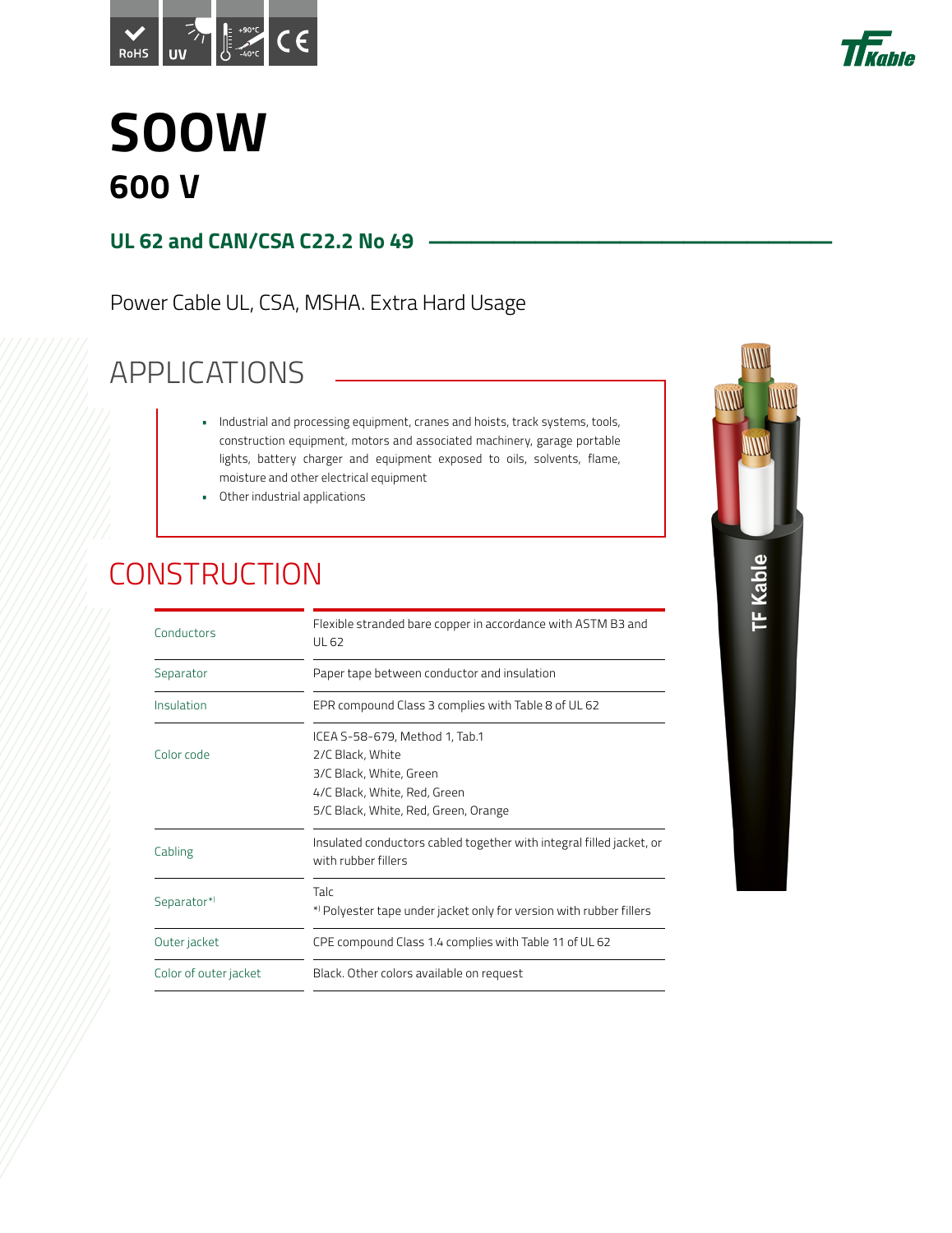



### **SOOW 600 V**

#### **UL 62 and CAN/CSA C22.2 No 49**

Power Cable UL, CSA, MSHA. Extra Hard Usage

### APPLICATIONS

- Industrial and processing equipment, cranes and hoists, track systems, tools, construction equipment, motors and associated machinery, garage portable lights, battery charger and equipment exposed to oils, solvents, flame, moisture and other electrical equipment
- Other industrial applications

### **CONSTRUCTION**

| Conductors            | Flexible stranded bare copper in accordance with ASTM B3 and<br>UL 62                                                                                 |  |  |  |  |  |  |  |
|-----------------------|-------------------------------------------------------------------------------------------------------------------------------------------------------|--|--|--|--|--|--|--|
| Separator             | Paper tape between conductor and insulation                                                                                                           |  |  |  |  |  |  |  |
| Insulation            | EPR compound Class 3 complies with Table 8 of UL 62                                                                                                   |  |  |  |  |  |  |  |
| Color code            | ICEA S-58-679, Method 1, Tab.1<br>2/C Black, White<br>3/C Black, White, Green<br>4/C Black, White, Red, Green<br>5/C Black, White, Red, Green, Orange |  |  |  |  |  |  |  |
| Cabling               | Insulated conductors cabled together with integral filled jacket, or<br>with rubber fillers                                                           |  |  |  |  |  |  |  |
| Separator*)           | Talc<br>*) Polyester tape under jacket only for version with rubber fillers                                                                           |  |  |  |  |  |  |  |
| Outer jacket          | CPE compound Class 1.4 complies with Table 11 of UL 62                                                                                                |  |  |  |  |  |  |  |
| Color of outer jacket | Black. Other colors available on request                                                                                                              |  |  |  |  |  |  |  |

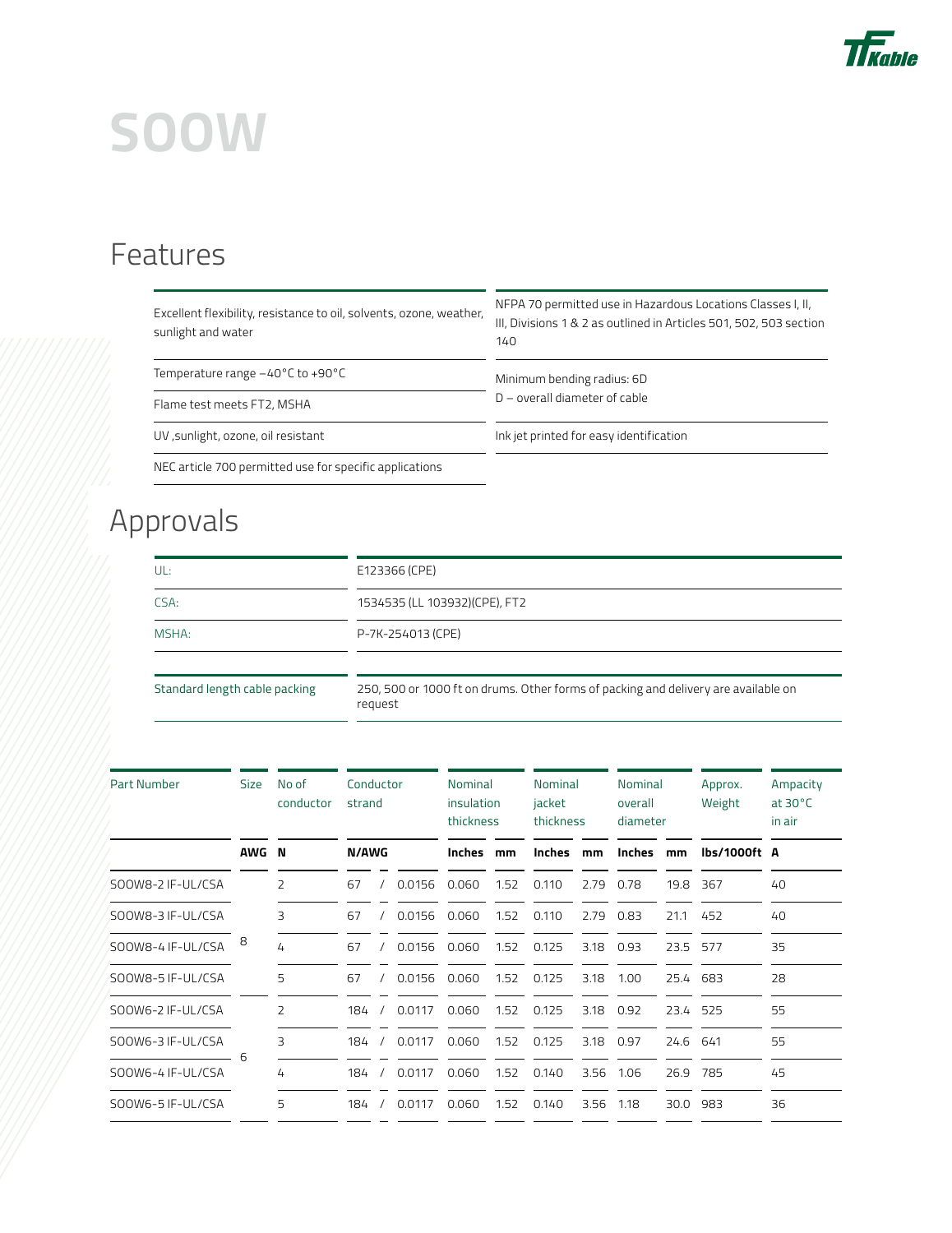

# **SOOW**

#### Features

| Excellent flexibility, resistance to oil, solvents, ozone, weather, | . |
|---------------------------------------------------------------------|---|
| sunlight and water                                                  |   |

NFPA 70 permitted use in Hazardous Locations Classes I, II, Divisions 1 & 2 as outlined in Articles 501, 502, 503 section 140

Temperature range -40°C to +90°C Minimum bending radius: 6D

D – overall diameter of cable Flame test meets FT2, MSHA

UV ,sunlight, ozone, oil resistant Ink jet printed for easy identification

NEC article 700 permitted use for specific applications

### Approvals

| UL:                           | E123366 (CPE)                                                                                 |
|-------------------------------|-----------------------------------------------------------------------------------------------|
| CSA:                          | 1534535 (LL 103932) (CPE), FT2                                                                |
| MSHA:                         | P-7K-254013 (CPE)                                                                             |
|                               |                                                                                               |
| Standard length cable packing | 250, 500 or 1000 ft on drums. Other forms of packing and delivery are available on<br>request |

| <b>Part Number</b> | <b>Size</b> | No of<br>conductor | Conductor<br>strand |  | Nominal<br>insulation<br>thickness |               | <b>Nominal</b><br>jacket<br>thickness |               | Nominal<br>overall<br>diameter |        | Approx.<br>Weight | Ampacity<br>at $30^{\circ}$ C<br>in air |    |
|--------------------|-------------|--------------------|---------------------|--|------------------------------------|---------------|---------------------------------------|---------------|--------------------------------|--------|-------------------|-----------------------------------------|----|
|                    | <b>AWG</b>  | - N                | N/AWG               |  |                                    | <b>Inches</b> | mm                                    | <b>Inches</b> | mm                             | Inches | mm                | lbs/1000ft A                            |    |
| SOOW8-2 IF-UL/CSA  |             | 2                  | 67                  |  | 0.0156                             | 0.060         | 1.52                                  | 0.110         | 2.79                           | 0.78   | 19.8              | 367                                     | 40 |
| SOOW8-3 IF-UL/CSA  |             | 3                  | 67                  |  | 0.0156                             | 0.060         | 1.52                                  | 0.110         | 2.79                           | 0.83   | 21.1              | 452                                     | 40 |
| SOOW8-4 IF-UL/CSA  | 8           | 4                  | 67                  |  | 0.0156                             | 0.060         | 1.52                                  | 0.125         | 3.18                           | 0.93   | 23.5              | 577                                     | 35 |
| SOOW8-5 IF-UL/CSA  |             | 5                  | 67                  |  | 0.0156                             | 0.060         | 1.52                                  | 0.125         | 3.18                           | 1.00   | 25.4 683          |                                         | 28 |
| SOOW6-2 IF-UL/CSA  |             | 2                  | 184                 |  | 0.0117                             | 0.060         | 1.52                                  | 0.125         | 3.18                           | 0.92   | 23.4              | 525                                     | 55 |
| SOOW6-3 IF-UL/CSA  | 6           | 3                  | 184                 |  | 0.0117                             | 0.060         | 1.52                                  | 0.125         | 3.18                           | 0.97   | 24.6              | 641                                     | 55 |
| SOOW6-4 IF-UL/CSA  |             | 4                  | 184                 |  | 0.0117                             | 0.060         | 1.52                                  | 0.140         | 3.56                           | 1.06   | 26.9              | 785                                     | 45 |
| SOOW6-5 IF-UL/CSA  |             | 5                  | 184                 |  | 0.0117                             | 0.060         | 1.52                                  | 0.140         | 3.56                           | 1.18   | 30.0              | 983                                     | 36 |